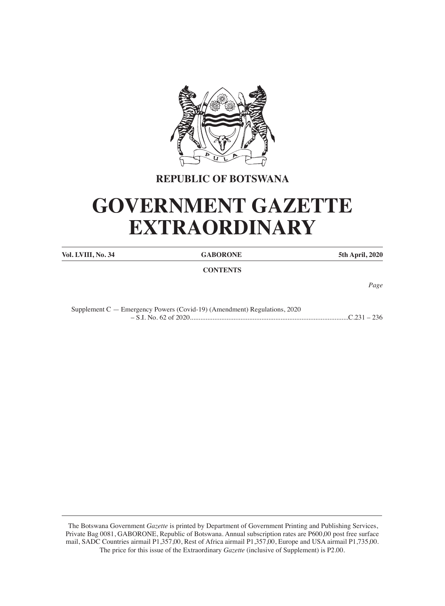

# **REPUBLIC OF BOTSWANA**

# **GOVERNMENT GAZETTE EXTRAORDINARY**

**Vol. LVIII, No. 34 GABORONE 5th April, 2020**

**CONTENTS**

*Page*

| Supplement $C$ — Emergency Powers (Covid-19) (Amendment) Regulations, 2020 |  |
|----------------------------------------------------------------------------|--|
|                                                                            |  |

 The Botswana Government *Gazette* is printed by Department of Government Printing and Publishing Services, Private Bag 0081, GABORONE, Republic of Botswana. Annual subscription rates are P600,00 post free surface mail, SADC Countries airmail P1,357,00, Rest of Africa airmail P1,357,00, Europe and USA airmail P1,735,00. The price for this issue of the Extraordinary *Gazette* (inclusive of Supplement) is P2.00.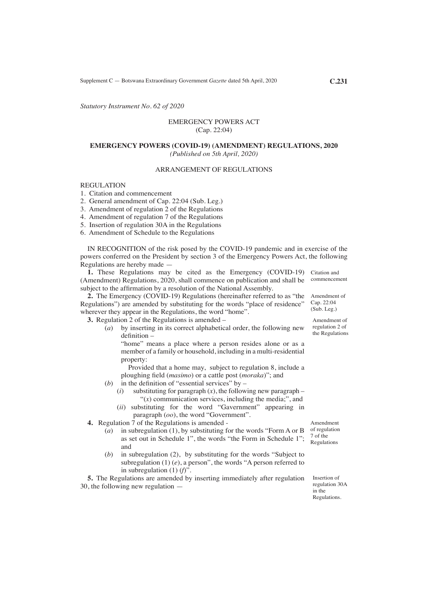*Statutory Instrument No. 62 of 2020*

### EMERGENCY POWERS ACT (Cap. 22:04)

### **EMERGENCY POWERS (COVID-19) (AMENDMENT) REGULATIONS, 2020** *(Published on 5th April, 2020)*

### ARRANGEMENT OF REGULATIONS

### REGULATION

- 1. Citation and commencement
- 2. General amendment of Cap. 22:04 (Sub. Leg.)
- 3. Amendment of regulation 2 of the Regulations
- 4. Amendment of regulation 7 of the Regulations
- 5. Insertion of regulation 30A in the Regulations
- 6. Amendment of Schedule to the Regulations

IN RECOGNITION of the risk posed by the COVID-19 pandemic and in exercise of the powers conferred on the President by section 3 of the Emergency Powers Act, the following Regulations are hereby made —

**1.** These Regulations may be cited as the Emergency (COVID-19) Citation and (Amendment) Regulations, 2020, shall commence on publication and shall be commencement subject to the affirmation by a resolution of the National Assembly.

**2.** The Emergency (COVID-19) Regulations (hereinafter referred to as "the Regulations") are amended by substituting for the words "place of residence" wherever they appear in the Regulations, the word "home".

**3.** Regulation 2 of the Regulations is amended –

(*a*) by inserting in its correct alphabetical order, the following new definition –

"home" means a place where a person resides alone or as a member of a family or household, including in a multi-residential property:

Provided that a home may, subject to regulation 8, include a ploughing field (*masimo*) or a cattle post (*moraka*)"; and

- (*b*) in the definition of "essential services" by  $-$ 
	- $(i)$  substituting for paragraph  $(x)$ , the following new paragraph " $(x)$  communication services, including the media;", and
	- (*ii*) substituting for the word "Gavernment" appearing in paragraph (*oo*), the word "Government".
- **4.** Regulation 7 of the Regulations is amended
	- (*a*) in subregulation (1), by substituting for the words "Form A or B as set out in Schedule 1", the words "the Form in Schedule 1"; and
	- (*b*) in subregulation (2), by substituting for the words "Subject to subregulation (1) (*e*), a person", the words "A person referred to in subregulation (1) (*f*)".

**5.** The Regulations are amended by inserting immediately after regulation 30, the following new regulation —

7 of the Regulations

Amendment of regulation

Insertion of regulation 30A in the Regulations.

Amendment of Cap. 22:04 (Sub. Leg.)

Amendment of regulation 2 of

the Regulations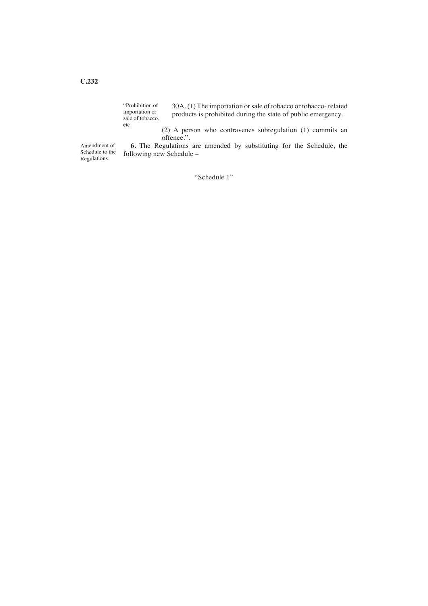#### 30A. (1) The importation or sale of tobacco or tobacco- related products is prohibited during the state of public emergency. "Prohibition of importation or sale of tobacco, etc.

(2) A person who contravenes subregulation (1) commits an offence.".

Amendment of Schedule to the Regulations

**6.** The Regulations are amended by substituting for the Schedule, the following new Schedule –

"Schedule 1"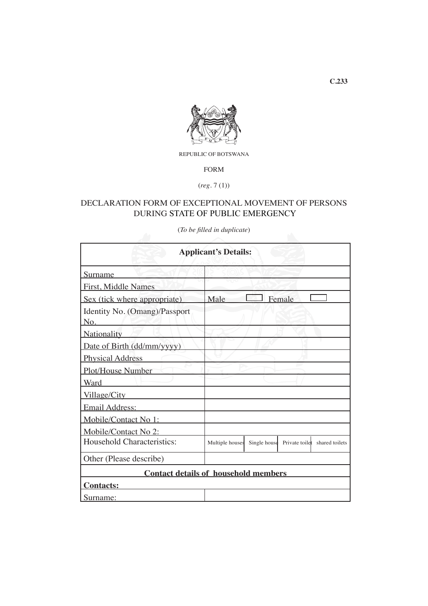

REPUBLIC OF BOTSWANA

FORM

(*reg*. 7 (1))

# DECLARATION FORM OF EXCEPTIONAL MOVEMENT OF PERSONS DURING STATE OF PUBLIC EMERGENCY

(*To be filled in duplicate*)

| <b>Applicant's Details:</b>                 |                 |              |                |                |
|---------------------------------------------|-----------------|--------------|----------------|----------------|
| Surname                                     |                 |              |                |                |
| First, Middle Names                         |                 |              |                |                |
| Sex (tick where appropriate)                | Male            |              | Female         |                |
| Identity No. (Omang)/Passport<br>No.        |                 |              |                |                |
| <b>Nationality</b>                          |                 |              |                |                |
| Date of Birth (dd/mm/yyyy)                  |                 |              |                |                |
| <b>Physical Address</b>                     |                 |              |                |                |
| Plot/House Number                           |                 |              |                |                |
| Ward                                        |                 |              |                |                |
| Village/City                                |                 |              |                |                |
| Email Address:                              |                 |              |                |                |
| Mobile/Contact No 1:                        |                 |              |                |                |
| Mobile/Contact No 2:                        |                 |              |                |                |
| Household Characteristics:                  | Multiple houses | Single house | Private toilet | shared toilets |
| Other (Please describe)                     |                 |              |                |                |
| <b>Contact details of household members</b> |                 |              |                |                |
| <b>Contacts:</b>                            |                 |              |                |                |
| Surname:                                    |                 |              |                |                |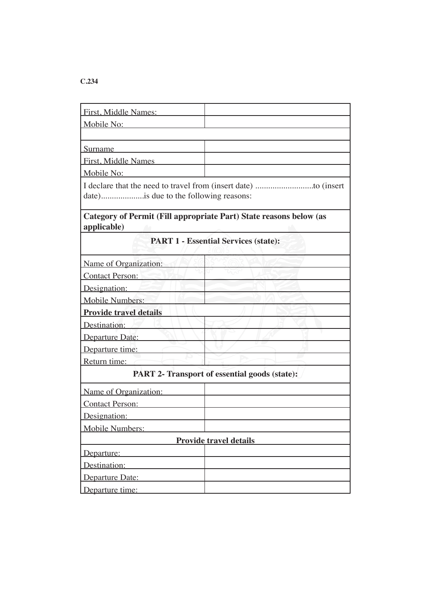# **C.234**

| First, Middle Names:                                                              |  |  |  |
|-----------------------------------------------------------------------------------|--|--|--|
| Mobile No:                                                                        |  |  |  |
|                                                                                   |  |  |  |
| Surname                                                                           |  |  |  |
| First, Middle Names                                                               |  |  |  |
| Mobile No:                                                                        |  |  |  |
| date)is due to the following reasons:                                             |  |  |  |
| Category of Permit (Fill appropriate Part) State reasons below (as<br>applicable) |  |  |  |
| <b>PART 1 - Essential Services (state):</b>                                       |  |  |  |
| Name of Organization:                                                             |  |  |  |
| Contact Person:                                                                   |  |  |  |
| Designation:                                                                      |  |  |  |
| <b>Mobile Numbers:</b>                                                            |  |  |  |
| <b>Provide travel details</b>                                                     |  |  |  |
| Destination:                                                                      |  |  |  |
| Departure Date:                                                                   |  |  |  |
| Departure time:                                                                   |  |  |  |
| Return time:                                                                      |  |  |  |
| <b>PART 2- Transport of essential goods (state):</b>                              |  |  |  |
| Name of Organization:                                                             |  |  |  |
| <b>Contact Person:</b>                                                            |  |  |  |
| Designation:                                                                      |  |  |  |
| Mobile Numbers:                                                                   |  |  |  |
| <b>Provide travel details</b>                                                     |  |  |  |
| Departure:                                                                        |  |  |  |
| Destination:                                                                      |  |  |  |
| Departure Date:                                                                   |  |  |  |
| Departure time:                                                                   |  |  |  |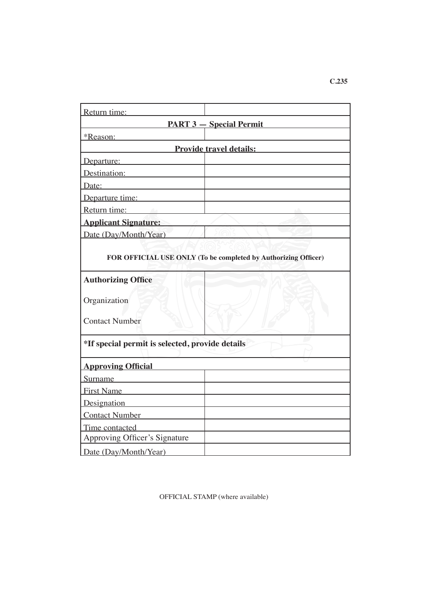| Return time:                                                   |  |  |
|----------------------------------------------------------------|--|--|
| <b>PART 3 - Special Permit</b>                                 |  |  |
| *Reason:                                                       |  |  |
| <b>Example 12 Provide travel details:</b>                      |  |  |
| Departure:                                                     |  |  |
| Destination:                                                   |  |  |
| Date:                                                          |  |  |
| Departure time:                                                |  |  |
| Return time:                                                   |  |  |
| <b>Applicant Signature:</b>                                    |  |  |
| Date (Day/Month/Year)                                          |  |  |
| FOR OFFICIAL USE ONLY (To be completed by Authorizing Officer) |  |  |
| <b>Authorizing Office</b>                                      |  |  |
| Organization                                                   |  |  |
| <b>Contact Number</b>                                          |  |  |
| *If special permit is selected, provide details                |  |  |
| <b>Approving Official</b>                                      |  |  |
| Surname                                                        |  |  |
| First Name                                                     |  |  |
| Designation                                                    |  |  |
| Contact Number                                                 |  |  |
| Time contacted                                                 |  |  |
| Approving Officer's Signature                                  |  |  |
| Date (Day/Month/Year)                                          |  |  |

OFFICIAL STAMP (where available)